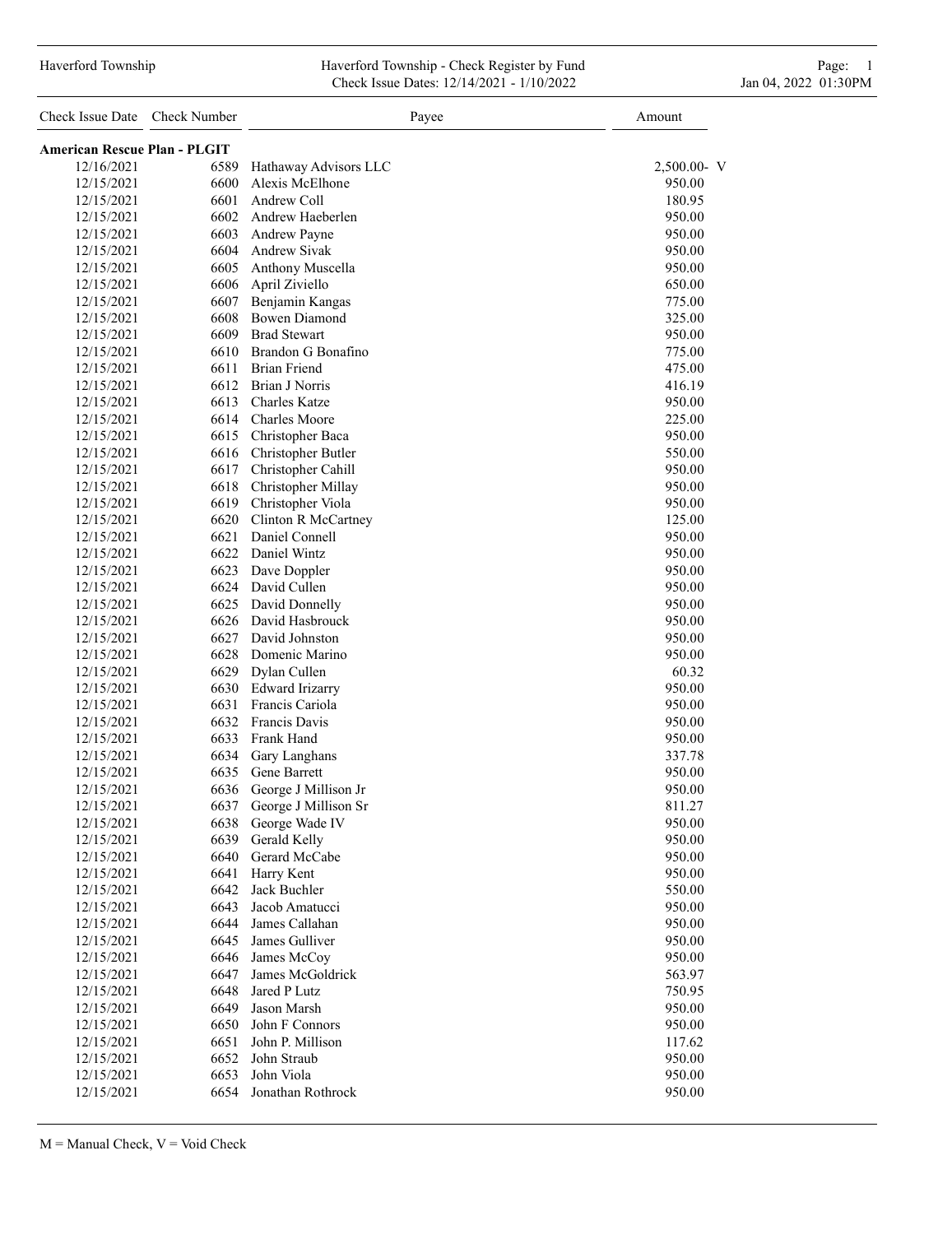### Haverford Township Haverford Township - Check Register by Fund Page: 1 Check Issue Dates: 12/14/2021 - 1/10/2022 Jan 04, 2022 01:30PM

| Check Issue Date                    | Check Number | Payee                  | Amount      |
|-------------------------------------|--------------|------------------------|-------------|
| <b>American Rescue Plan - PLGIT</b> |              |                        |             |
| 12/16/2021                          | 6589         | Hathaway Advisors LLC  | 2,500.00- V |
| 12/15/2021                          | 6600         | Alexis McElhone        | 950.00      |
| 12/15/2021                          | 6601         | Andrew Coll            | 180.95      |
| 12/15/2021                          | 6602         | Andrew Haeberlen       | 950.00      |
| 12/15/2021                          | 6603         | Andrew Payne           | 950.00      |
| 12/15/2021                          | 6604         | <b>Andrew Sivak</b>    | 950.00      |
| 12/15/2021                          | 6605         | Anthony Muscella       | 950.00      |
| 12/15/2021                          | 6606         | April Ziviello         | 650.00      |
| 12/15/2021                          | 6607         | Benjamin Kangas        | 775.00      |
| 12/15/2021                          | 6608         | <b>Bowen Diamond</b>   | 325.00      |
| 12/15/2021                          | 6609         | <b>Brad Stewart</b>    | 950.00      |
| 12/15/2021                          | 6610         | Brandon G Bonafino     | 775.00      |
| 12/15/2021                          | 6611         | <b>Brian Friend</b>    | 475.00      |
| 12/15/2021                          | 6612         | <b>Brian J Norris</b>  | 416.19      |
| 12/15/2021                          | 6613         | <b>Charles Katze</b>   | 950.00      |
| 12/15/2021                          | 6614         | <b>Charles Moore</b>   | 225.00      |
| 12/15/2021                          | 6615         | Christopher Baca       | 950.00      |
| 12/15/2021                          | 6616         | Christopher Butler     | 550.00      |
| 12/15/2021                          | 6617         | Christopher Cahill     | 950.00      |
| 12/15/2021                          | 6618         | Christopher Millay     | 950.00      |
| 12/15/2021                          | 6619         | Christopher Viola      | 950.00      |
| 12/15/2021                          | 6620         | Clinton R McCartney    | 125.00      |
| 12/15/2021                          | 6621         | Daniel Connell         | 950.00      |
| 12/15/2021                          | 6622         | Daniel Wintz           | 950.00      |
| 12/15/2021                          | 6623         | Dave Doppler           | 950.00      |
| 12/15/2021                          | 6624         | David Cullen           | 950.00      |
| 12/15/2021                          | 6625         | David Donnelly         | 950.00      |
| 12/15/2021                          | 6626         | David Hasbrouck        | 950.00      |
| 12/15/2021                          | 6627         | David Johnston         | 950.00      |
| 12/15/2021                          | 6628         | Domenic Marino         | 950.00      |
| 12/15/2021                          | 6629         | Dylan Cullen           | 60.32       |
| 12/15/2021                          | 6630         | <b>Edward Irizarry</b> | 950.00      |
| 12/15/2021                          | 6631         | Francis Cariola        | 950.00      |
| 12/15/2021                          | 6632         | Francis Davis          | 950.00      |
| 12/15/2021                          | 6633         | Frank Hand             | 950.00      |
| 12/15/2021                          | 6634         | Gary Langhans          | 337.78      |
| 12/15/2021                          | 6635         | Gene Barrett           | 950.00      |
| 12/15/2021                          | 6636         | George J Millison Jr   | 950.00      |
| 12/15/2021                          | 6637         | George J Millison Sr   | 811.27      |
| 12/15/2021                          | 6638         | George Wade IV         | 950.00      |
| 12/15/2021                          | 6639         | Gerald Kelly           | 950.00      |
| 12/15/2021                          | 6640         | Gerard McCabe          | 950.00      |
| 12/15/2021                          | 6641         | Harry Kent             | 950.00      |
| 12/15/2021                          | 6642         | Jack Buchler           | 550.00      |
| 12/15/2021                          | 6643         | Jacob Amatucci         | 950.00      |
| 12/15/2021                          | 6644         | James Callahan         | 950.00      |
| 12/15/2021                          | 6645         | James Gulliver         | 950.00      |
| 12/15/2021                          | 6646         | James McCoy            | 950.00      |
| 12/15/2021                          | 6647         | James McGoldrick       | 563.97      |
| 12/15/2021                          | 6648         | Jared P Lutz           | 750.95      |
| 12/15/2021                          | 6649         | Jason Marsh            | 950.00      |
| 12/15/2021                          | 6650         | John F Connors         | 950.00      |
| 12/15/2021                          | 6651         | John P. Millison       | 117.62      |
| 12/15/2021                          | 6652         | John Straub            | 950.00      |
| 12/15/2021                          | 6653         | John Viola             | 950.00      |
| 12/15/2021                          | 6654         | Jonathan Rothrock      | 950.00      |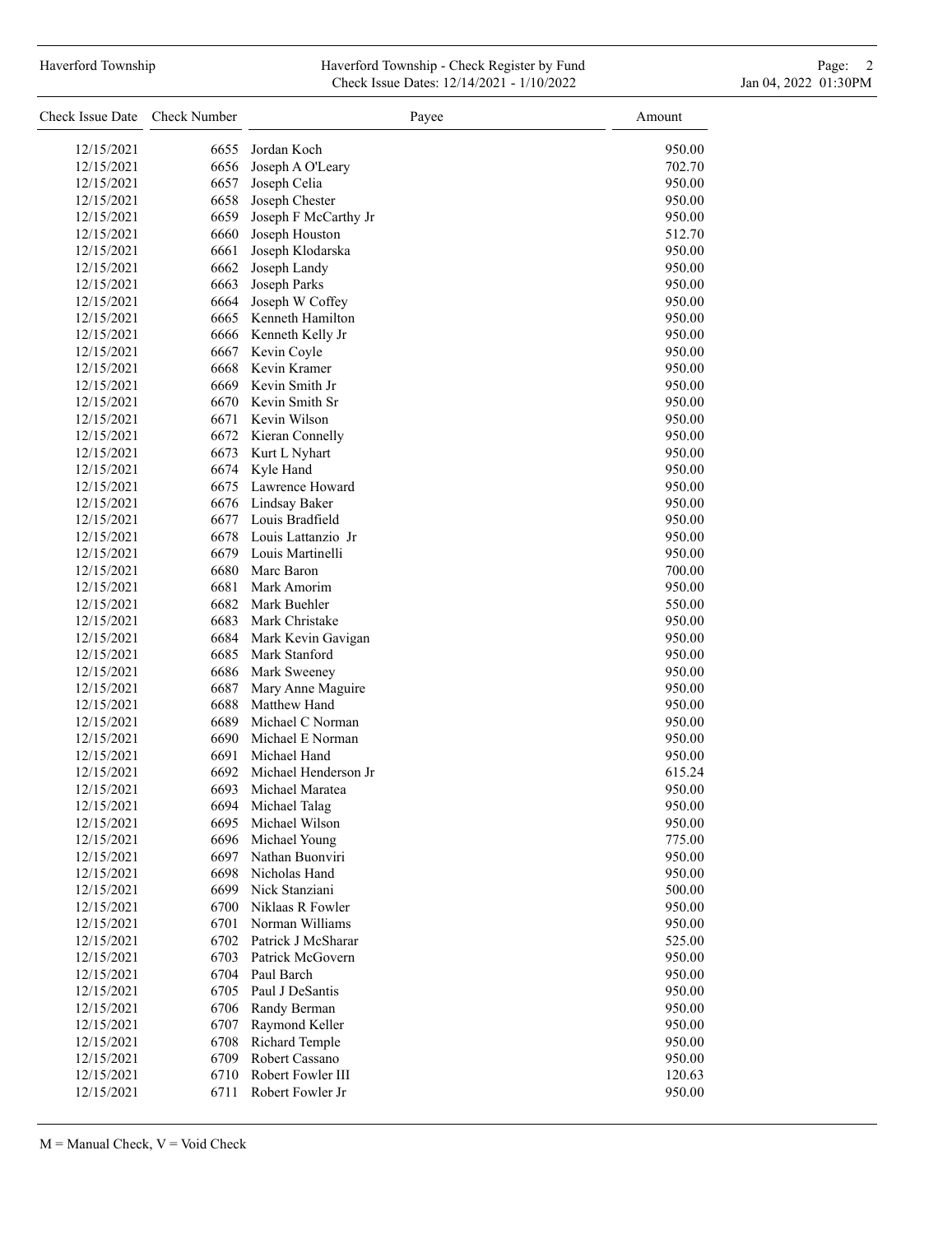## Haverford Township **Haverford Township - Check Register by Fund** Page: 2 Check Issue Dates: 12/14/2021 - 1/10/2022 Jan 04, 2022 01:30PM

| Check Issue Date         | Check Number | Payee                              | Amount |
|--------------------------|--------------|------------------------------------|--------|
| 12/15/2021               | 6655         | Jordan Koch                        | 950.00 |
| 12/15/2021               | 6656         | Joseph A O'Leary                   | 702.70 |
| 12/15/2021               | 6657         | Joseph Celia                       | 950.00 |
| 12/15/2021               | 6658         | Joseph Chester                     | 950.00 |
| 12/15/2021               | 6659         | Joseph F McCarthy Jr               | 950.00 |
| 12/15/2021               | 6660         | Joseph Houston                     | 512.70 |
| 12/15/2021               | 6661         | Joseph Klodarska                   | 950.00 |
| 12/15/2021               | 6662         | Joseph Landy                       | 950.00 |
| 12/15/2021               | 6663         | Joseph Parks                       | 950.00 |
| 12/15/2021               | 6664         | Joseph W Coffey                    | 950.00 |
| 12/15/2021               | 6665         | Kenneth Hamilton                   | 950.00 |
| 12/15/2021               | 6666         | Kenneth Kelly Jr                   | 950.00 |
| 12/15/2021               | 6667         | Kevin Coyle                        | 950.00 |
| 12/15/2021               | 6668         | Kevin Kramer                       | 950.00 |
| 12/15/2021               | 6669         | Kevin Smith Jr                     | 950.00 |
| 12/15/2021               | 6670         | Kevin Smith Sr                     | 950.00 |
| 12/15/2021               | 6671         | Kevin Wilson                       | 950.00 |
| 12/15/2021               | 6672         | Kieran Connelly                    | 950.00 |
| 12/15/2021               |              | 6673 Kurt L Nyhart                 | 950.00 |
| 12/15/2021               | 6674         | Kyle Hand                          | 950.00 |
| 12/15/2021               | 6675         | Lawrence Howard                    | 950.00 |
| 12/15/2021               | 6676         | Lindsay Baker                      | 950.00 |
| 12/15/2021               | 6677         | Louis Bradfield                    | 950.00 |
| 12/15/2021               | 6678         | Louis Lattanzio Jr                 | 950.00 |
| 12/15/2021               | 6679         | Louis Martinelli                   | 950.00 |
| 12/15/2021               | 6680         | Marc Baron                         | 700.00 |
| 12/15/2021               | 6681         | Mark Amorim                        | 950.00 |
| 12/15/2021               | 6682         | Mark Buehler                       | 550.00 |
| 12/15/2021               | 6683         | Mark Christake                     | 950.00 |
| 12/15/2021               | 6684         | Mark Kevin Gavigan                 | 950.00 |
| 12/15/2021               | 6685         | Mark Stanford                      | 950.00 |
| 12/15/2021               | 6686         | Mark Sweeney                       | 950.00 |
| 12/15/2021               | 6687         | Mary Anne Maguire                  | 950.00 |
| 12/15/2021               | 6688         | Matthew Hand                       | 950.00 |
| 12/15/2021               | 6689         | Michael C Norman                   | 950.00 |
| 12/15/2021               | 6690         | Michael E Norman                   | 950.00 |
| 12/15/2021               | 6691         | Michael Hand                       | 950.00 |
| 12/15/2021               | 6692         | Michael Henderson Jr               | 615.24 |
| 12/15/2021               | 6693         | Michael Maratea                    | 950.00 |
| 12/15/2021               | 6694         | Michael Talag                      | 950.00 |
| 12/15/2021               | 6695         | Michael Wilson                     | 950.00 |
| 12/15/2021               | 6696         | Michael Young                      | 775.00 |
| 12/15/2021               | 6697         | Nathan Buonviri                    | 950.00 |
|                          | 6698         | Nicholas Hand                      |        |
| 12/15/2021               |              |                                    | 950.00 |
| 12/15/2021               | 6699         | Nick Stanziani<br>Niklaas R Fowler | 500.00 |
| 12/15/2021<br>12/15/2021 | 6700<br>6701 | Norman Williams                    | 950.00 |
|                          | 6702         | Patrick J McSharar                 | 950.00 |
| 12/15/2021               |              |                                    | 525.00 |
| 12/15/2021               | 6703         | Patrick McGovern                   | 950.00 |
| 12/15/2021               | 6704         | Paul Barch                         | 950.00 |
| 12/15/2021               | 6705         | Paul J DeSantis                    | 950.00 |
| 12/15/2021               | 6706         | Randy Berman                       | 950.00 |
| 12/15/2021               | 6707         | Raymond Keller                     | 950.00 |
| 12/15/2021               | 6708         | Richard Temple                     | 950.00 |
| 12/15/2021               | 6709         | Robert Cassano                     | 950.00 |
| 12/15/2021               | 6710         | Robert Fowler III                  | 120.63 |
| 12/15/2021               | 6711         | Robert Fowler Jr                   | 950.00 |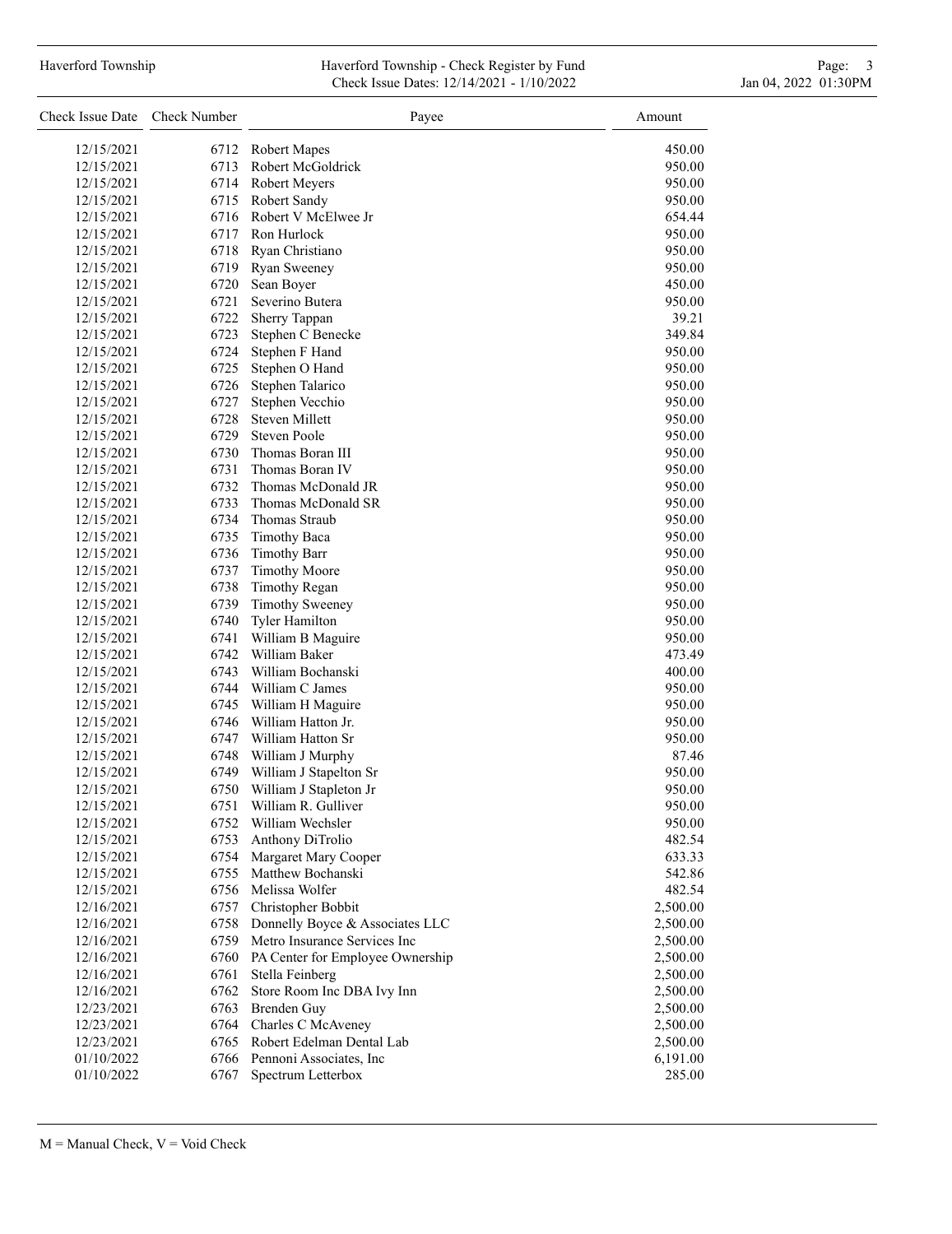# Haverford Township **Haverford Township - Check Register by Fund** Page: 3 and Page: 3 and Page: 3 and Page: 3 and Page: 3 and Page: 3 and Page: 3 and Page: 3 and Page: 3 and Page: 3 and Page: 3 and Page: 3 and Page: 3 and P Check Issue Dates: 12/14/2021 - 1/10/2022 Jan 04, 2022 01:30PM

| Check Issue Date | Check Number | Payee                            | Amount   |
|------------------|--------------|----------------------------------|----------|
| 12/15/2021       | 6712         | <b>Robert Mapes</b>              | 450.00   |
| 12/15/2021       | 6713         | Robert McGoldrick                | 950.00   |
| 12/15/2021       | 6714         | Robert Meyers                    | 950.00   |
| 12/15/2021       | 6715         | Robert Sandy                     | 950.00   |
| 12/15/2021       | 6716         | Robert V McElwee Jr              | 654.44   |
| 12/15/2021       | 6717         | Ron Hurlock                      | 950.00   |
| 12/15/2021       | 6718         | Ryan Christiano                  | 950.00   |
| 12/15/2021       | 6719         | Ryan Sweeney                     | 950.00   |
| 12/15/2021       | 6720         | Sean Boyer                       | 450.00   |
| 12/15/2021       | 6721         | Severino Butera                  | 950.00   |
| 12/15/2021       | 6722         | Sherry Tappan                    | 39.21    |
| 12/15/2021       | 6723         | Stephen C Benecke                | 349.84   |
| 12/15/2021       | 6724         | Stephen F Hand                   | 950.00   |
| 12/15/2021       | 6725         | Stephen O Hand                   | 950.00   |
| 12/15/2021       | 6726         | Stephen Talarico                 | 950.00   |
| 12/15/2021       | 6727         | Stephen Vecchio                  | 950.00   |
| 12/15/2021       | 6728         | <b>Steven Millett</b>            | 950.00   |
| 12/15/2021       | 6729         | <b>Steven Poole</b>              | 950.00   |
| 12/15/2021       | 6730         | Thomas Boran III                 | 950.00   |
| 12/15/2021       | 6731         | Thomas Boran IV                  | 950.00   |
| 12/15/2021       | 6732         | Thomas McDonald JR               | 950.00   |
| 12/15/2021       | 6733         | Thomas McDonald SR               | 950.00   |
| 12/15/2021       | 6734         | Thomas Straub                    | 950.00   |
| 12/15/2021       | 6735         | <b>Timothy Baca</b>              | 950.00   |
| 12/15/2021       | 6736         | <b>Timothy Barr</b>              | 950.00   |
| 12/15/2021       | 6737         | <b>Timothy Moore</b>             | 950.00   |
| 12/15/2021       | 6738         | <b>Timothy Regan</b>             | 950.00   |
| 12/15/2021       | 6739         | <b>Timothy Sweeney</b>           | 950.00   |
| 12/15/2021       | 6740         | <b>Tyler Hamilton</b>            | 950.00   |
| 12/15/2021       | 6741         | William B Maguire                | 950.00   |
| 12/15/2021       | 6742         | William Baker                    | 473.49   |
| 12/15/2021       | 6743         | William Bochanski                | 400.00   |
| 12/15/2021       | 6744         | William C James                  | 950.00   |
| 12/15/2021       | 6745         | William H Maguire                | 950.00   |
| 12/15/2021       | 6746         | William Hatton Jr.               | 950.00   |
| 12/15/2021       | 6747         | William Hatton Sr                | 950.00   |
| 12/15/2021       | 6748         | William J Murphy                 | 87.46    |
| 12/15/2021       | 6749         | William J Stapelton Sr           | 950.00   |
| 12/15/2021       | 6750         | William J Stapleton Jr           | 950.00   |
| 12/15/2021       | 6751         | William R. Gulliver              | 950.00   |
| 12/15/2021       | 6752         | William Wechsler                 | 950.00   |
| 12/15/2021       | 6753         | Anthony DiTrolio                 | 482.54   |
| 12/15/2021       | 6754         | Margaret Mary Cooper             | 633.33   |
| 12/15/2021       | 6755         | Matthew Bochanski                | 542.86   |
| 12/15/2021       |              | 6756 Melissa Wolfer              | 482.54   |
| 12/16/2021       | 6757         | Christopher Bobbit               | 2,500.00 |
| 12/16/2021       | 6758         | Donnelly Boyce & Associates LLC  | 2,500.00 |
| 12/16/2021       | 6759         | Metro Insurance Services Inc     | 2,500.00 |
| 12/16/2021       | 6760         | PA Center for Employee Ownership | 2,500.00 |
| 12/16/2021       | 6761         | Stella Feinberg                  | 2,500.00 |
| 12/16/2021       | 6762         | Store Room Inc DBA Ivy Inn       | 2,500.00 |
| 12/23/2021       | 6763         | Brenden Guy                      | 2,500.00 |
| 12/23/2021       |              | 6764 Charles C McAveney          | 2,500.00 |
| 12/23/2021       |              | 6765 Robert Edelman Dental Lab   | 2,500.00 |
| 01/10/2022       |              | 6766 Pennoni Associates, Inc     | 6,191.00 |
| 01/10/2022       | 6767         | Spectrum Letterbox               | 285.00   |
|                  |              |                                  |          |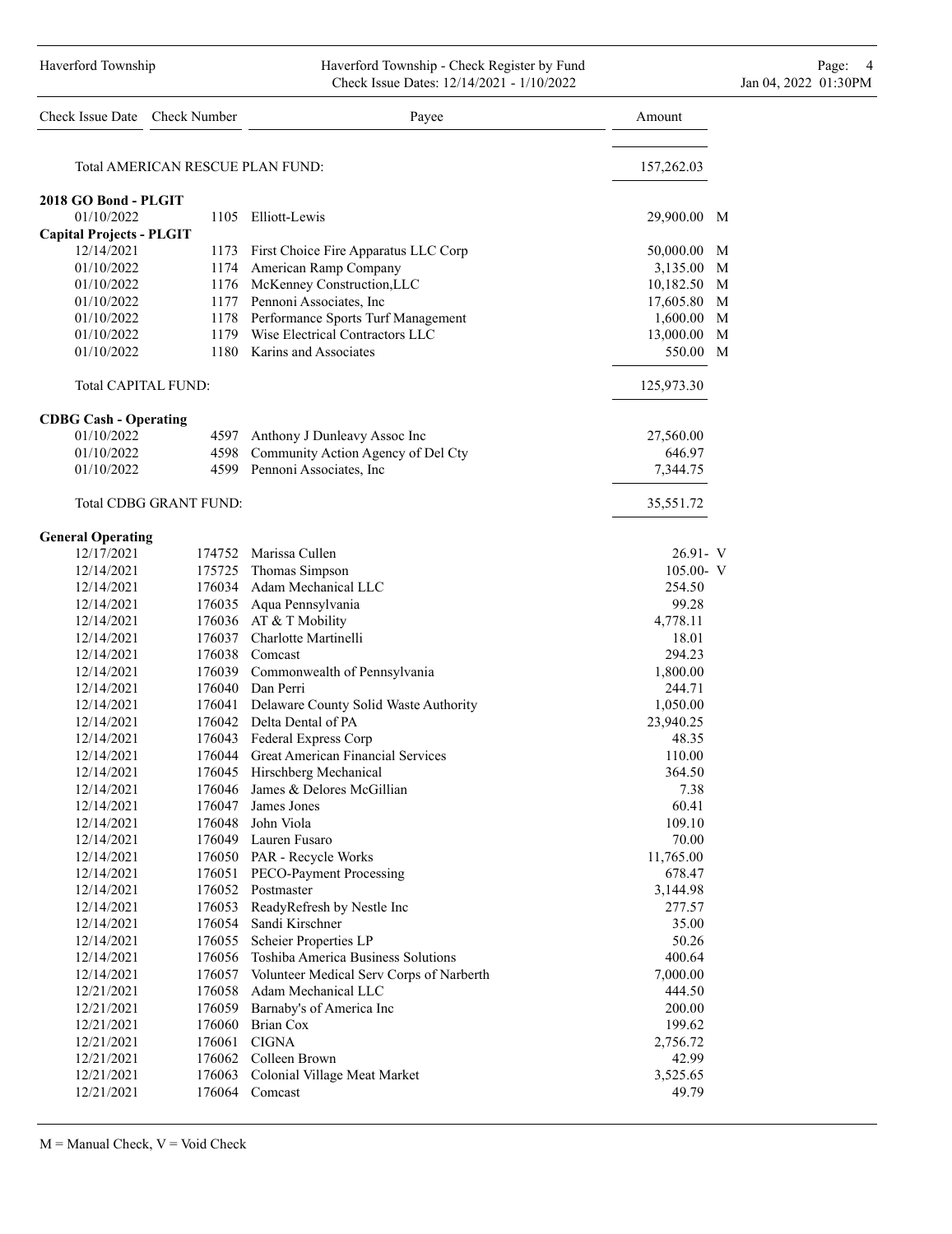#### Haverford Township **Haverford Township - Check Register by Fund** Page: 4 and Page: 4 Check Issue Dates: 12/14/2021 - 1/10/2022 Jan 04, 2022 01:30PM

| Check Issue Date Check Number   |                                  | Payee                                                  | Amount         |
|---------------------------------|----------------------------------|--------------------------------------------------------|----------------|
|                                 | Total AMERICAN RESCUE PLAN FUND: |                                                        | 157,262.03     |
| 2018 GO Bond - PLGIT            |                                  |                                                        |                |
| 01/10/2022                      |                                  | 1105 Elliott-Lewis                                     | 29,900.00<br>M |
| <b>Capital Projects - PLGIT</b> |                                  |                                                        |                |
| 12/14/2021                      |                                  | 1173 First Choice Fire Apparatus LLC Corp              | 50,000.00 M    |
| 01/10/2022                      |                                  | 1174 American Ramp Company                             | 3,135.00 M     |
| 01/10/2022                      |                                  | 1176 McKenney Construction, LLC                        | 10,182.50<br>M |
| 01/10/2022                      |                                  | 1177 Pennoni Associates, Inc.                          | M<br>17,605.80 |
| 01/10/2022                      |                                  | 1178 Performance Sports Turf Management                | M<br>1,600.00  |
| 01/10/2022                      |                                  | 1179 Wise Electrical Contractors LLC                   | 13,000.00<br>M |
| 01/10/2022                      |                                  | 1180 Karins and Associates                             | 550.00 M       |
| <b>Total CAPITAL FUND:</b>      |                                  |                                                        | 125,973.30     |
| <b>CDBG Cash - Operating</b>    |                                  |                                                        |                |
| 01/10/2022                      |                                  | 4597 Anthony J Dunleavy Assoc Inc                      | 27,560.00      |
| 01/10/2022                      |                                  | 4598 Community Action Agency of Del Cty                | 646.97         |
| 01/10/2022                      |                                  | 4599 Pennoni Associates, Inc                           | 7,344.75       |
|                                 | Total CDBG GRANT FUND:           |                                                        |                |
|                                 |                                  |                                                        | 35,551.72      |
| <b>General Operating</b>        |                                  |                                                        |                |
| 12/17/2021                      |                                  | 174752 Marissa Cullen                                  | 26.91- V       |
| 12/14/2021                      |                                  | 175725 Thomas Simpson                                  | $105.00 - V$   |
| 12/14/2021                      |                                  | 176034 Adam Mechanical LLC                             | 254.50         |
| 12/14/2021                      |                                  | 176035 Aqua Pennsylvania                               | 99.28          |
| 12/14/2021                      |                                  | 176036 AT & T Mobility                                 | 4,778.11       |
| 12/14/2021                      |                                  | 176037 Charlotte Martinelli                            | 18.01          |
| 12/14/2021                      |                                  | 176038 Comcast                                         | 294.23         |
| 12/14/2021                      |                                  | 176039 Commonwealth of Pennsylvania                    | 1,800.00       |
| 12/14/2021                      |                                  | 176040 Dan Perri                                       | 244.71         |
| 12/14/2021                      | 176041                           | Delaware County Solid Waste Authority                  | 1,050.00       |
| 12/14/2021                      |                                  | 176042 Delta Dental of PA                              | 23,940.25      |
| 12/14/2021                      |                                  | 176043 Federal Express Corp                            | 48.35          |
| 12/14/2021                      |                                  | 176044 Great American Financial Services               | 110.00         |
| 12/14/2021<br>12/14/2021        |                                  | 176045 Hirschberg Mechanical                           | 364.50<br>7.38 |
|                                 |                                  | 176046 James & Delores McGillian<br>176047 James Jones | 60.41          |
| 12/14/2021<br>12/14/2021        |                                  | 176048 John Viola                                      | 109.10         |
| 12/14/2021                      |                                  | 176049 Lauren Fusaro                                   | 70.00          |
| 12/14/2021                      |                                  | 176050 PAR - Recycle Works                             | 11,765.00      |
| 12/14/2021                      |                                  | 176051 PECO-Payment Processing                         | 678.47         |
| 12/14/2021                      |                                  | 176052 Postmaster                                      | 3,144.98       |
| 12/14/2021                      | 176053                           | ReadyRefresh by Nestle Inc                             | 277.57         |
| 12/14/2021                      | 176054                           | Sandi Kirschner                                        | 35.00          |
| 12/14/2021                      | 176055                           | Scheier Properties LP                                  | 50.26          |
| 12/14/2021                      | 176056                           | Toshiba America Business Solutions                     | 400.64         |
| 12/14/2021                      |                                  | 176057 Volunteer Medical Serv Corps of Narberth        | 7,000.00       |
| 12/21/2021                      |                                  | 176058 Adam Mechanical LLC                             | 444.50         |
| 12/21/2021                      |                                  | 176059 Barnaby's of America Inc                        | 200.00         |
| 12/21/2021                      |                                  | 176060 Brian Cox                                       | 199.62         |
| 12/21/2021                      |                                  | 176061 CIGNA                                           | 2,756.72       |
| 12/21/2021                      |                                  | 176062 Colleen Brown                                   | 42.99          |
| 12/21/2021                      |                                  | 176063 Colonial Village Meat Market                    | 3,525.65       |
| 12/21/2021                      |                                  | 176064 Comcast                                         | 49.79          |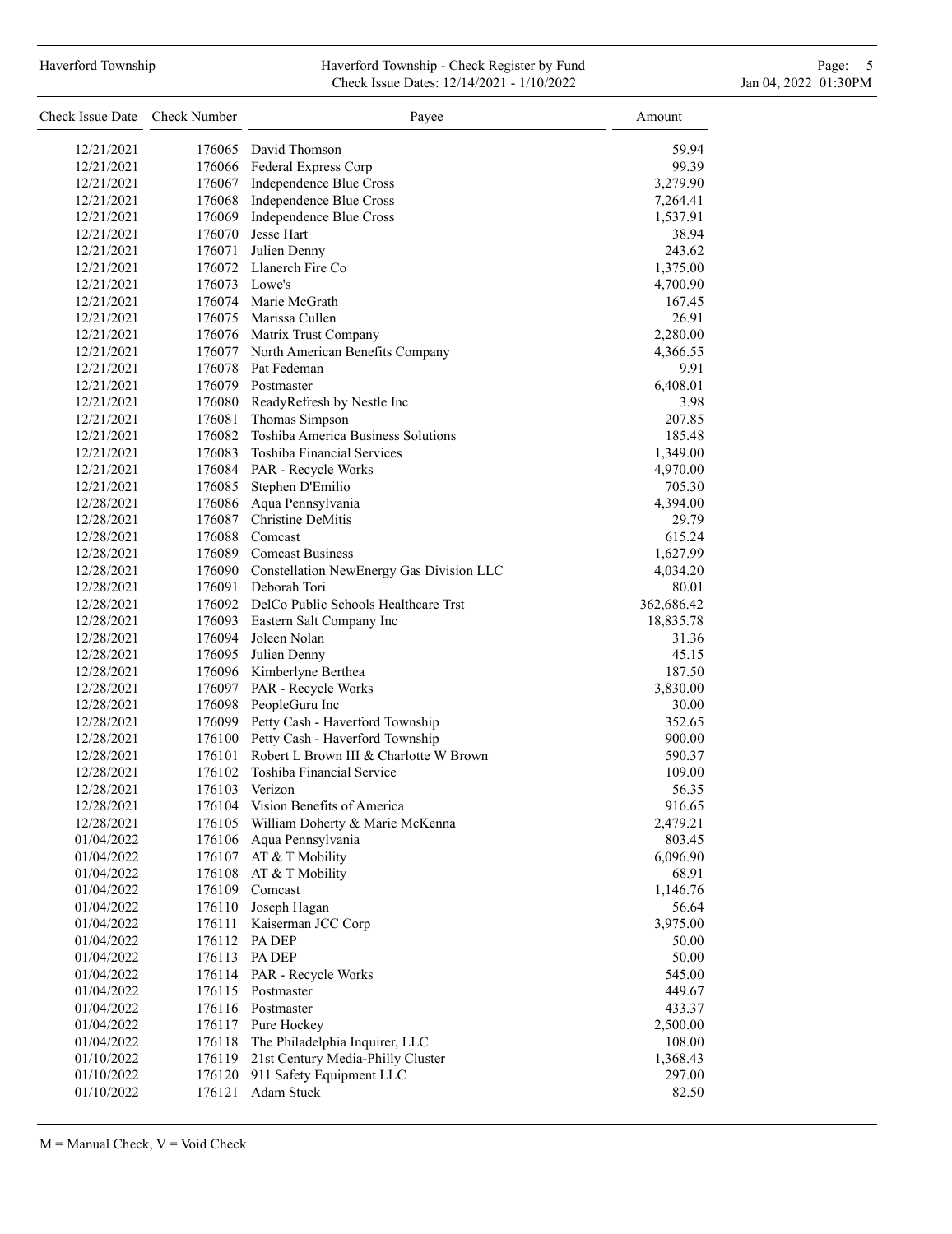#### Haverford Township **Haverford Township - Check Register by Fund** Page: 5 and Page: 5 and Page: 5 and Page: 5 and Page: 5 and Page: 5 and Page: 5 and Page: 5 and Page: 5 and Page: 5 and Page: 5 and Page: 5 and Page: 5 and P Check Issue Dates: 12/14/2021 - 1/10/2022 Jan 04, 2022 01:30PM

| Check Issue Date Check Number |               | Payee                                                              | Amount             |
|-------------------------------|---------------|--------------------------------------------------------------------|--------------------|
| 12/21/2021                    |               | 176065 David Thomson                                               | 59.94              |
| 12/21/2021                    |               | 176066 Federal Express Corp                                        | 99.39              |
| 12/21/2021                    |               | 176067 Independence Blue Cross                                     | 3,279.90           |
| 12/21/2021                    |               | 176068 Independence Blue Cross                                     | 7,264.41           |
| 12/21/2021                    | 176069        | Independence Blue Cross                                            | 1,537.91           |
| 12/21/2021                    |               | 176070 Jesse Hart                                                  | 38.94              |
| 12/21/2021                    |               | 176071 Julien Denny                                                | 243.62             |
| 12/21/2021                    |               | 176072 Llanerch Fire Co                                            | 1,375.00           |
| 12/21/2021                    | 176073 Lowe's |                                                                    | 4,700.90           |
| 12/21/2021                    |               | 176074 Marie McGrath                                               | 167.45             |
| 12/21/2021                    |               | 176075 Marissa Cullen                                              | 26.91              |
| 12/21/2021                    |               | 176076 Matrix Trust Company                                        | 2,280.00           |
| 12/21/2021                    |               | 176077 North American Benefits Company                             | 4,366.55           |
| 12/21/2021                    |               | 176078 Pat Fedeman                                                 | 9.91               |
| 12/21/2021                    |               | 176079 Postmaster                                                  | 6,408.01           |
| 12/21/2021                    |               | 176080 ReadyRefresh by Nestle Inc                                  | 3.98               |
| 12/21/2021                    | 176081        | Thomas Simpson                                                     | 207.85             |
| 12/21/2021                    |               | 176082 Toshiba America Business Solutions                          | 185.48             |
| 12/21/2021                    |               | 176083 Toshiba Financial Services                                  | 1,349.00           |
| 12/21/2021                    |               | 176084 PAR - Recycle Works                                         |                    |
| 12/21/2021                    |               | 176085 Stephen D'Emilio                                            | 4,970.00<br>705.30 |
| 12/28/2021                    |               | 176086 Aqua Pennsylvania                                           |                    |
|                               |               | 176087 Christine DeMitis                                           | 4,394.00           |
| 12/28/2021                    |               |                                                                    | 29.79              |
| 12/28/2021                    |               | 176088 Comcast                                                     | 615.24             |
| 12/28/2021                    |               | 176089 Comcast Business                                            | 1,627.99           |
| 12/28/2021                    |               | 176090 Constellation NewEnergy Gas Division LLC                    | 4,034.20           |
| 12/28/2021                    |               | 176091 Deborah Tori<br>176092 DelCo Public Schools Healthcare Trst | 80.01              |
| 12/28/2021                    |               |                                                                    | 362,686.42         |
| 12/28/2021                    |               | 176093 Eastern Salt Company Inc                                    | 18,835.78          |
| 12/28/2021                    | 176094        | Joleen Nolan                                                       | 31.36              |
| 12/28/2021                    |               | 176095 Julien Denny                                                | 45.15              |
| 12/28/2021                    |               | 176096 Kimberlyne Berthea                                          | 187.50             |
| 12/28/2021                    |               | 176097 PAR - Recycle Works                                         | 3,830.00           |
| 12/28/2021                    |               | 176098 PeopleGuru Inc                                              | 30.00              |
| 12/28/2021                    |               | 176099 Petty Cash - Haverford Township                             | 352.65             |
| 12/28/2021                    |               | 176100 Petty Cash - Haverford Township                             | 900.00             |
| 12/28/2021                    |               | 176101 Robert L Brown III & Charlotte W Brown                      | 590.37             |
| 12/28/2021                    | 176102        | Toshiba Financial Service                                          | 109.00             |
| 12/28/2021                    | 176103        | Verizon                                                            | 56.35              |
| 12/28/2021                    | 176104        | Vision Benefits of America                                         | 916.65             |
| 12/28/2021                    | 176105        | William Doherty & Marie McKenna                                    | 2,479.21           |
| 01/04/2022                    | 176106        | Aqua Pennsylvania                                                  | 803.45             |
| 01/04/2022                    | 176107        | AT & T Mobility                                                    | 6,096.90           |
| 01/04/2022                    | 176108        | AT & T Mobility                                                    | 68.91              |
| 01/04/2022                    | 176109        | Comcast                                                            | 1,146.76           |
| 01/04/2022                    | 176110        | Joseph Hagan                                                       | 56.64              |
| 01/04/2022                    | 176111        | Kaiserman JCC Corp                                                 | 3,975.00           |
| 01/04/2022                    | 176112        | PA DEP                                                             | 50.00              |
| 01/04/2022                    | 176113        | PA DEP                                                             | 50.00              |
| 01/04/2022                    | 176114        | PAR - Recycle Works                                                | 545.00             |
| 01/04/2022                    | 176115        | Postmaster                                                         | 449.67             |
| 01/04/2022                    | 176116        | Postmaster                                                         | 433.37             |
| 01/04/2022                    | 176117        | Pure Hockey                                                        | 2,500.00           |
| 01/04/2022                    | 176118        | The Philadelphia Inquirer, LLC                                     | 108.00             |
| 01/10/2022                    | 176119        | 21st Century Media-Philly Cluster                                  | 1,368.43           |
| 01/10/2022                    | 176120        | 911 Safety Equipment LLC                                           | 297.00             |
| 01/10/2022                    | 176121        | Adam Stuck                                                         | 82.50              |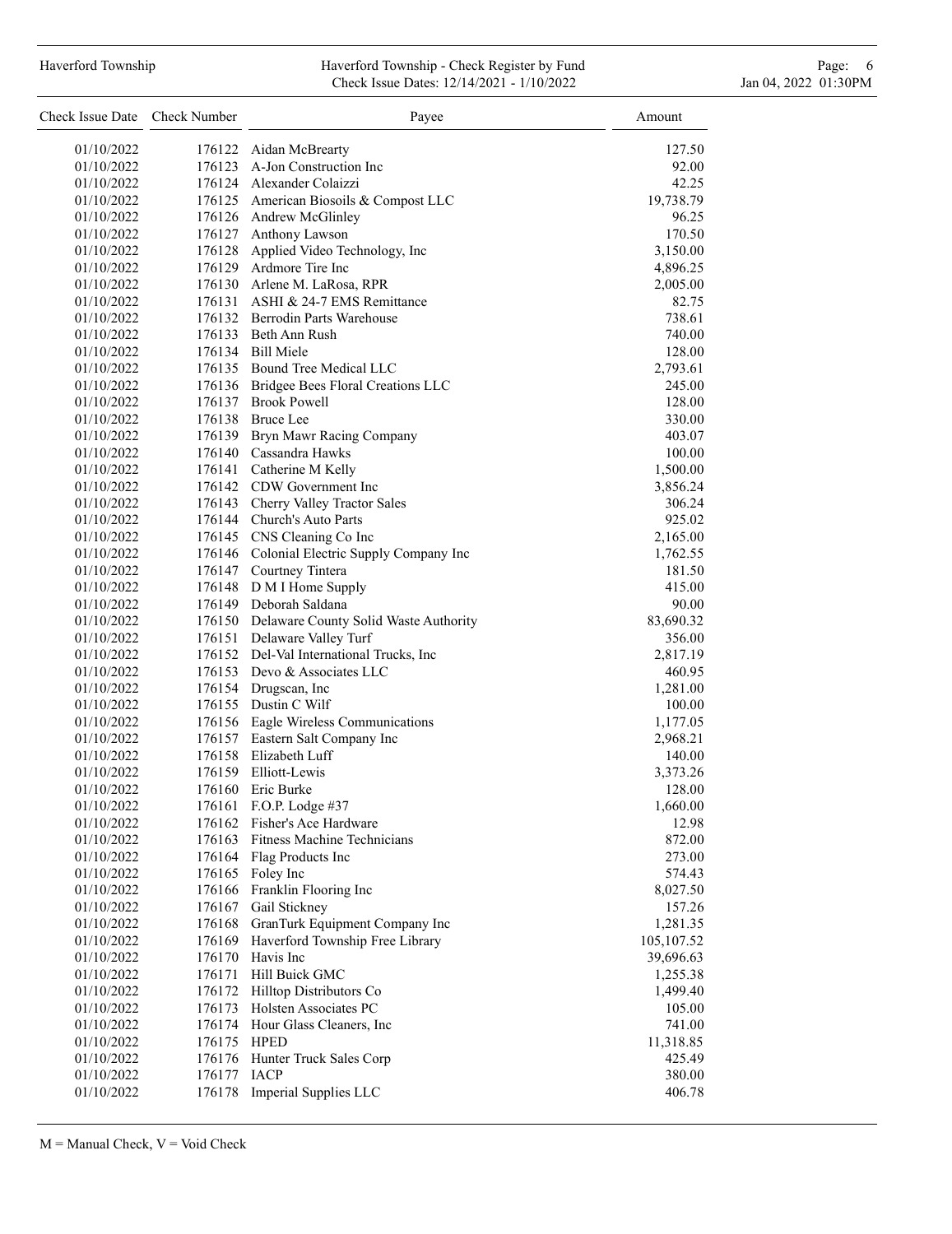## Haverford Township **Haverford Township - Check Register by Fund** Page: 6 Australian Page: 6 Australian Page: 6 Au Check Issue Dates: 12/14/2021 - 1/10/2022 Jan 04, 2022 01:30PM

| Check Issue Date Check Number |             | Payee                                        | Amount             |
|-------------------------------|-------------|----------------------------------------------|--------------------|
| 01/10/2022                    |             | 176122 Aidan McBrearty                       | 127.50             |
| 01/10/2022                    |             | 176123 A-Jon Construction Inc                | 92.00              |
| 01/10/2022                    |             | 176124 Alexander Colaizzi                    | 42.25              |
| 01/10/2022                    |             | 176125 American Biosoils & Compost LLC       | 19,738.79          |
| 01/10/2022                    |             | 176126 Andrew McGlinley                      | 96.25              |
| 01/10/2022                    |             | 176127 Anthony Lawson                        | 170.50             |
| 01/10/2022                    |             | 176128 Applied Video Technology, Inc         | 3,150.00           |
| 01/10/2022                    |             | 176129 Ardmore Tire Inc                      | 4,896.25           |
| 01/10/2022                    |             | 176130 Arlene M. LaRosa, RPR                 | 2,005.00           |
| 01/10/2022                    |             | 176131 ASHI & 24-7 EMS Remittance            | 82.75              |
| 01/10/2022                    |             | 176132 Berrodin Parts Warehouse              | 738.61             |
| 01/10/2022                    |             | 176133 Beth Ann Rush                         | 740.00             |
| 01/10/2022                    |             | 176134 Bill Miele                            | 128.00             |
| 01/10/2022                    |             | 176135 Bound Tree Medical LLC                | 2,793.61           |
| 01/10/2022                    |             | 176136 Bridgee Bees Floral Creations LLC     | 245.00             |
| 01/10/2022                    |             | 176137 Brook Powell                          | 128.00             |
| 01/10/2022                    |             | 176138 Bruce Lee                             | 330.00             |
| 01/10/2022                    |             | 176139 Bryn Mawr Racing Company              | 403.07             |
| 01/10/2022                    |             | 176140 Cassandra Hawks                       | 100.00             |
| 01/10/2022                    |             | 176141 Catherine M Kelly                     | 1,500.00           |
| 01/10/2022                    |             | 176142 CDW Government Inc                    | 3,856.24           |
| 01/10/2022                    |             | 176143 Cherry Valley Tractor Sales           | 306.24             |
| 01/10/2022                    |             | 176144 Church's Auto Parts                   | 925.02             |
| 01/10/2022                    |             | 176145 CNS Cleaning Co Inc                   | 2,165.00           |
| 01/10/2022                    |             | 176146 Colonial Electric Supply Company Inc  | 1,762.55           |
| 01/10/2022                    |             | 176147 Courtney Tintera                      | 181.50             |
| 01/10/2022                    |             | 176148 D M I Home Supply                     | 415.00             |
| 01/10/2022                    |             | 176149 Deborah Saldana                       | 90.00              |
| 01/10/2022                    |             | 176150 Delaware County Solid Waste Authority | 83,690.32          |
| 01/10/2022                    |             | 176151 Delaware Valley Turf                  | 356.00             |
| 01/10/2022                    |             | 176152 Del-Val International Trucks, Inc     | 2,817.19           |
| 01/10/2022                    |             | 176153 Devo & Associates LLC                 | 460.95             |
| 01/10/2022<br>01/10/2022      |             | 176154 Drugscan, Inc<br>176155 Dustin C Wilf | 1,281.00           |
| 01/10/2022                    |             | 176156 Eagle Wireless Communications         | 100.00<br>1,177.05 |
| 01/10/2022                    |             | 176157 Eastern Salt Company Inc              | 2,968.21           |
| 01/10/2022                    |             | 176158 Elizabeth Luff                        | 140.00             |
| 01/10/2022                    |             | 176159 Elliott-Lewis                         | 3,373.26           |
| 01/10/2022                    | 176160      | Eric Burke                                   | 128.00             |
| 01/10/2022                    |             | 176161 F.O.P. Lodge #37                      | 1,660.00           |
| 01/10/2022                    |             | 176162 Fisher's Ace Hardware                 | 12.98              |
| 01/10/2022                    |             | 176163 Fitness Machine Technicians           | 872.00             |
| 01/10/2022                    |             | 176164 Flag Products Inc                     | 273.00             |
| 01/10/2022                    |             | 176165 Foley Inc                             | 574.43             |
| 01/10/2022                    |             | 176166 Franklin Flooring Inc                 | 8,027.50           |
| 01/10/2022                    | 176167      | Gail Stickney                                | 157.26             |
| 01/10/2022                    |             | 176168 GranTurk Equipment Company Inc        | 1,281.35           |
| 01/10/2022                    | 176169      | Haverford Township Free Library              | 105,107.52         |
| 01/10/2022                    | 176170      | Havis Inc                                    | 39,696.63          |
| 01/10/2022                    | 176171      | Hill Buick GMC                               | 1,255.38           |
| 01/10/2022                    |             | 176172 Hilltop Distributors Co               | 1,499.40           |
| 01/10/2022                    |             | 176173 Holsten Associates PC                 | 105.00             |
| 01/10/2022                    |             | 176174 Hour Glass Cleaners, Inc              | 741.00             |
| 01/10/2022                    | 176175 HPED |                                              | 11,318.85          |
| 01/10/2022                    | 176176      | Hunter Truck Sales Corp                      | 425.49             |
| 01/10/2022                    | 176177      | <b>IACP</b>                                  | 380.00             |
| 01/10/2022                    | 176178      | Imperial Supplies LLC                        | 406.78             |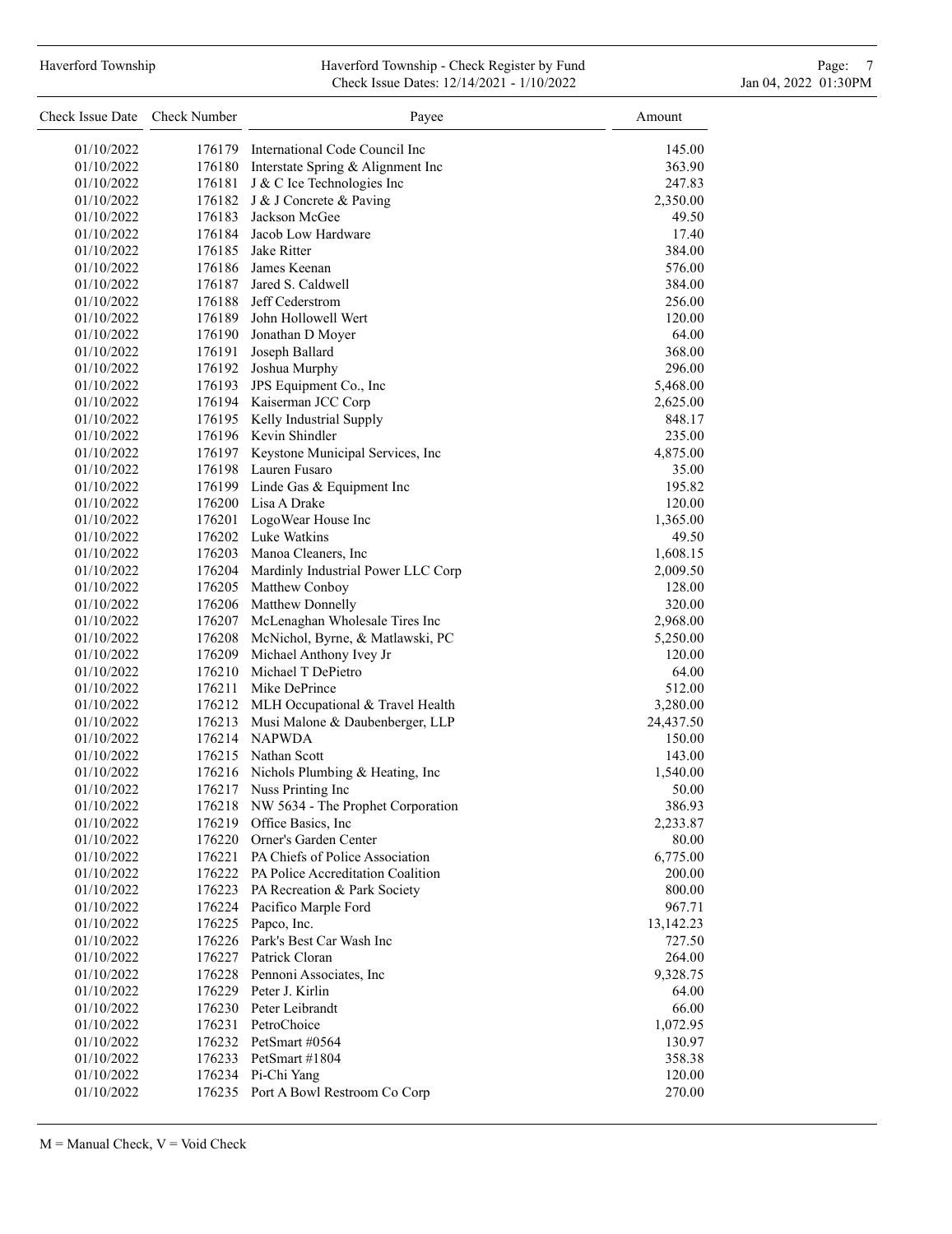## Haverford Township **Haverford Township - Check Register by Fund** Page: 7 Australian Page: 7 Check Issue Dates: 12/14/2021 - 1/10/2022 Jan 04, 2022 01:30PM

| Check Issue Date Check Number |        | Payee                                     | Amount    |
|-------------------------------|--------|-------------------------------------------|-----------|
| 01/10/2022                    |        | 176179 International Code Council Inc     | 145.00    |
| 01/10/2022                    |        | 176180 Interstate Spring & Alignment Inc  | 363.90    |
| 01/10/2022                    | 176181 | J & C Ice Technologies Inc                | 247.83    |
| 01/10/2022                    | 176182 | J & J Concrete & Paving                   | 2,350.00  |
| 01/10/2022                    | 176183 | Jackson McGee                             | 49.50     |
| 01/10/2022                    |        | 176184 Jacob Low Hardware                 | 17.40     |
| 01/10/2022                    |        | 176185 Jake Ritter                        | 384.00    |
| 01/10/2022                    |        | 176186 James Keenan                       | 576.00    |
| 01/10/2022                    |        | 176187 Jared S. Caldwell                  | 384.00    |
| 01/10/2022                    | 176188 | Jeff Cederstrom                           | 256.00    |
| 01/10/2022                    | 176189 | John Hollowell Wert                       | 120.00    |
| 01/10/2022                    |        | 176190 Jonathan D Moyer                   | 64.00     |
| 01/10/2022                    | 176191 | Joseph Ballard                            | 368.00    |
| 01/10/2022                    |        | 176192 Joshua Murphy                      | 296.00    |
| 01/10/2022                    |        | 176193 JPS Equipment Co., Inc             | 5,468.00  |
| 01/10/2022                    |        | 176194 Kaiserman JCC Corp                 | 2,625.00  |
| 01/10/2022                    |        | 176195 Kelly Industrial Supply            | 848.17    |
| 01/10/2022                    |        | 176196 Kevin Shindler                     | 235.00    |
| 01/10/2022                    |        | 176197 Keystone Municipal Services, Inc   | 4,875.00  |
| 01/10/2022                    |        | 176198 Lauren Fusaro                      | 35.00     |
| 01/10/2022                    |        | 176199 Linde Gas & Equipment Inc          | 195.82    |
| 01/10/2022                    |        | 176200 Lisa A Drake                       | 120.00    |
| 01/10/2022                    |        | 176201 LogoWear House Inc                 | 1,365.00  |
| 01/10/2022                    |        | 176202 Luke Watkins                       | 49.50     |
| 01/10/2022                    |        | 176203 Manoa Cleaners, Inc                | 1,608.15  |
| 01/10/2022                    |        | 176204 Mardinly Industrial Power LLC Corp | 2,009.50  |
| 01/10/2022                    |        | 176205 Matthew Conboy                     | 128.00    |
| 01/10/2022                    |        | 176206 Matthew Donnelly                   | 320.00    |
| 01/10/2022                    | 176207 | McLenaghan Wholesale Tires Inc            | 2,968.00  |
| 01/10/2022                    | 176208 | McNichol, Byrne, & Matlawski, PC          | 5,250.00  |
| 01/10/2022                    | 176209 | Michael Anthony Ivey Jr                   | 120.00    |
| 01/10/2022                    |        | 176210 Michael T DePietro                 | 64.00     |
| 01/10/2022                    | 176211 | Mike DePrince                             | 512.00    |
| 01/10/2022                    |        | 176212 MLH Occupational & Travel Health   | 3,280.00  |
| 01/10/2022                    | 176213 | Musi Malone & Daubenberger, LLP           | 24,437.50 |
| 01/10/2022                    |        | 176214 NAPWDA                             | 150.00    |
| 01/10/2022                    | 176215 | Nathan Scott                              | 143.00    |
| 01/10/2022                    |        | 176216 Nichols Plumbing & Heating, Inc    | 1,540.00  |
| 01/10/2022                    | 176217 | Nuss Printing Inc                         | 50.00     |
| 01/10/2022                    |        | 176218 NW 5634 - The Prophet Corporation  | 386.93    |
| 01/10/2022                    | 176219 | Office Basics, Inc.                       | 2,233.87  |
| 01/10/2022                    |        | 176220 Orner's Garden Center              | 80.00     |
| 01/10/2022                    |        | 176221 PA Chiefs of Police Association    | 6,775.00  |
| 01/10/2022                    |        | 176222 PA Police Accreditation Coalition  | 200.00    |
| 01/10/2022                    | 176223 | PA Recreation & Park Society              | 800.00    |
| 01/10/2022                    |        | 176224 Pacifico Marple Ford               | 967.71    |
| 01/10/2022                    | 176225 | Papco, Inc.                               | 13,142.23 |
| 01/10/2022                    | 176226 | Park's Best Car Wash Inc                  | 727.50    |
| 01/10/2022                    | 176227 | Patrick Cloran                            | 264.00    |
| 01/10/2022                    |        | 176228 Pennoni Associates, Inc.           | 9,328.75  |
| 01/10/2022                    |        | 176229 Peter J. Kirlin                    | 64.00     |
| 01/10/2022                    |        | 176230 Peter Leibrandt                    | 66.00     |
| 01/10/2022                    |        | 176231 PetroChoice                        | 1,072.95  |
| 01/10/2022                    |        | 176232 PetSmart #0564                     | 130.97    |
| 01/10/2022                    |        | 176233 PetSmart #1804                     | 358.38    |
| 01/10/2022                    |        | 176234 Pi-Chi Yang                        | 120.00    |
| 01/10/2022                    |        | 176235 Port A Bowl Restroom Co Corp       | 270.00    |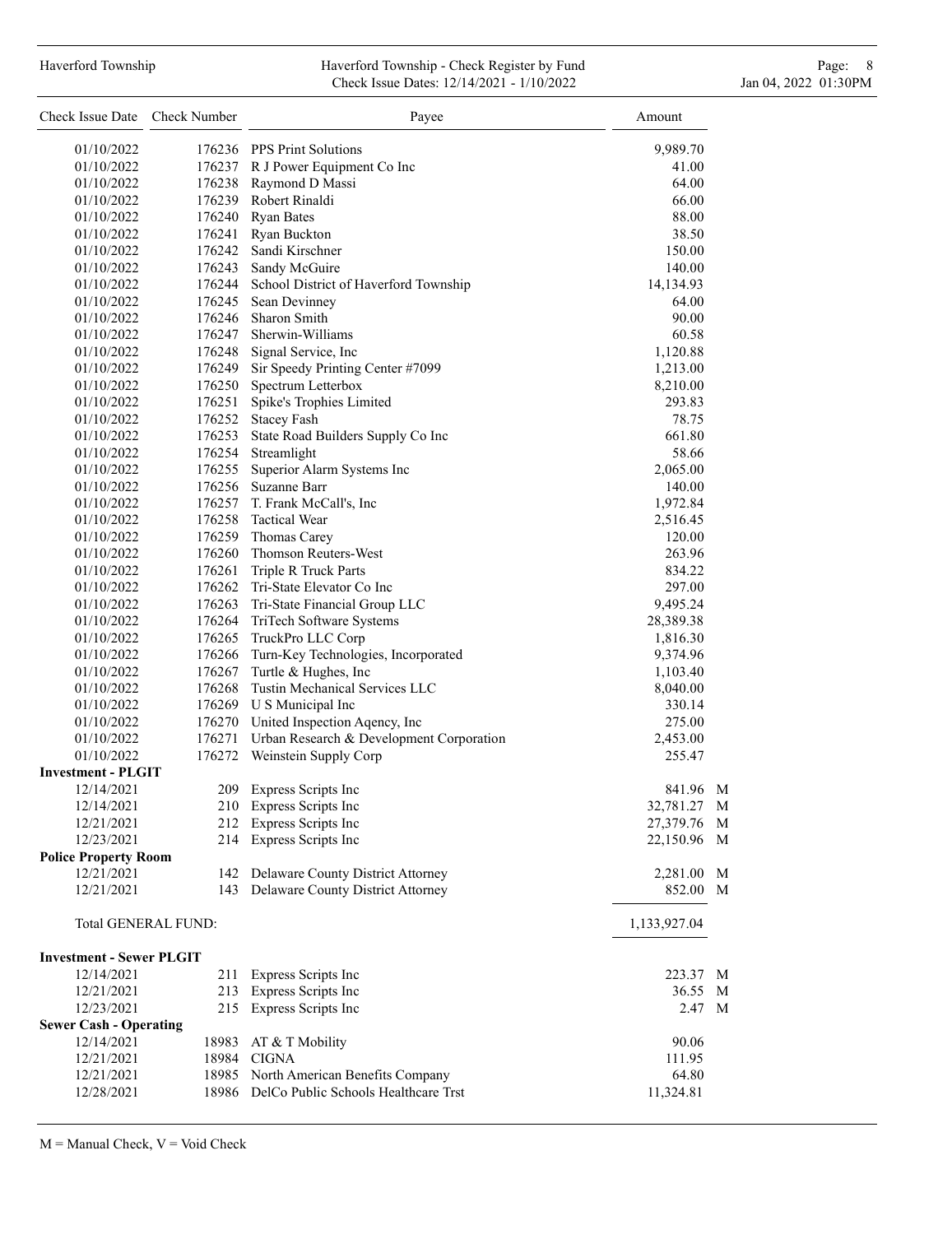#### Haverford Township **Haverford Township - Check Register by Fund** Page: 8 Page: 8 Page: 8 Check Issue Dates: 12/14/2021 - 1/10/2022 Jan 04, 2022 01:30PM

| Check Issue Date Check Number   |                     | Payee                                        | Amount       |  |
|---------------------------------|---------------------|----------------------------------------------|--------------|--|
| 01/10/2022                      |                     | 176236 PPS Print Solutions                   | 9,989.70     |  |
| 01/10/2022                      |                     | 176237 R J Power Equipment Co Inc            | 41.00        |  |
| 01/10/2022                      |                     | 176238 Raymond D Massi                       | 64.00        |  |
| 01/10/2022                      |                     | 176239 Robert Rinaldi                        | 66.00        |  |
| 01/10/2022                      |                     | 176240 Ryan Bates                            | 88.00        |  |
| 01/10/2022                      |                     | 176241 Ryan Buckton                          | 38.50        |  |
| 01/10/2022                      |                     | 176242 Sandi Kirschner                       | 150.00       |  |
| 01/10/2022                      |                     | 176243 Sandy McGuire                         | 140.00       |  |
| 01/10/2022                      |                     | 176244 School District of Haverford Township | 14,134.93    |  |
| 01/10/2022                      |                     | 176245 Sean Devinney                         | 64.00        |  |
| 01/10/2022                      |                     | 176246 Sharon Smith                          | 90.00        |  |
| 01/10/2022                      |                     | 176247 Sherwin-Williams                      | 60.58        |  |
| 01/10/2022                      |                     | 176248 Signal Service, Inc                   | 1,120.88     |  |
| 01/10/2022                      |                     | 176249 Sir Speedy Printing Center #7099      | 1,213.00     |  |
| 01/10/2022                      |                     | 176250 Spectrum Letterbox                    | 8,210.00     |  |
| 01/10/2022                      |                     | 176251 Spike's Trophies Limited              | 293.83       |  |
| 01/10/2022                      |                     | 176252 Stacey Fash                           | 78.75        |  |
| 01/10/2022                      |                     | 176253 State Road Builders Supply Co Inc     | 661.80       |  |
| 01/10/2022                      |                     | 176254 Streamlight                           | 58.66        |  |
| 01/10/2022                      |                     | 176255 Superior Alarm Systems Inc            | 2,065.00     |  |
| 01/10/2022                      |                     | 176256 Suzanne Barr                          | 140.00       |  |
| 01/10/2022                      |                     | 176257 T. Frank McCall's, Inc.               | 1,972.84     |  |
| 01/10/2022                      |                     | 176258 Tactical Wear                         | 2,516.45     |  |
| 01/10/2022                      |                     | 176259 Thomas Carey                          | 120.00       |  |
| 01/10/2022                      |                     | 176260 Thomson Reuters-West                  | 263.96       |  |
| 01/10/2022                      |                     | 176261 Triple R Truck Parts                  | 834.22       |  |
| 01/10/2022                      |                     | 176262 Tri-State Elevator Co Inc             | 297.00       |  |
| 01/10/2022                      |                     | 176263 Tri-State Financial Group LLC         | 9,495.24     |  |
| 01/10/2022                      |                     | 176264 TriTech Software Systems              | 28,389.38    |  |
| 01/10/2022                      |                     | 176265 TruckPro LLC Corp                     | 1,816.30     |  |
| 01/10/2022                      |                     | 176266 Turn-Key Technologies, Incorporated   | 9,374.96     |  |
| 01/10/2022                      |                     | 176267 Turtle & Hughes, Inc                  | 1,103.40     |  |
| 01/10/2022                      |                     | 176268 Tustin Mechanical Services LLC        | 8,040.00     |  |
| 01/10/2022                      |                     | 176269 U S Municipal Inc                     | 330.14       |  |
| 01/10/2022                      |                     | 176270 United Inspection Aqency, Inc         | 275.00       |  |
| 01/10/2022                      | 176271              | Urban Research & Development Corporation     | 2,453.00     |  |
| 01/10/2022                      | 176272              | Weinstein Supply Corp                        | 255.47       |  |
| <b>Investment - PLGIT</b>       |                     |                                              |              |  |
| 12/14/2021                      | 209                 | Express Scripts Inc                          | 841.96 M     |  |
| 12/14/2021                      |                     | 210 Express Scripts Inc                      | 32,781.27 M  |  |
| 12/21/2021                      |                     | 212 Express Scripts Inc                      | 27,379.76 M  |  |
| 12/23/2021                      |                     | 214 Express Scripts Inc                      | 22,150.96 M  |  |
| <b>Police Property Room</b>     |                     |                                              |              |  |
| 12/21/2021                      |                     | 142 Delaware County District Attorney        | 2,281.00 M   |  |
| 12/21/2021                      |                     | 143 Delaware County District Attorney        | 852.00 M     |  |
|                                 | Total GENERAL FUND: |                                              | 1,133,927.04 |  |
| <b>Investment - Sewer PLGIT</b> |                     |                                              |              |  |
| 12/14/2021                      | 211                 | Express Scripts Inc                          | 223.37 M     |  |
| 12/21/2021                      |                     | 213 Express Scripts Inc                      | 36.55 M      |  |
| 12/23/2021                      |                     | 215 Express Scripts Inc                      | 2.47 M       |  |
| <b>Sewer Cash - Operating</b>   |                     |                                              |              |  |
| 12/14/2021                      | 18983               | AT & T Mobility                              | 90.06        |  |
| 12/21/2021                      |                     | 18984 CIGNA                                  | 111.95       |  |
| 12/21/2021                      |                     | 18985 North American Benefits Company        | 64.80        |  |
| 12/28/2021                      |                     | 18986 DelCo Public Schools Healthcare Trst   | 11,324.81    |  |

 $M =$  Manual Check,  $V =$  Void Check